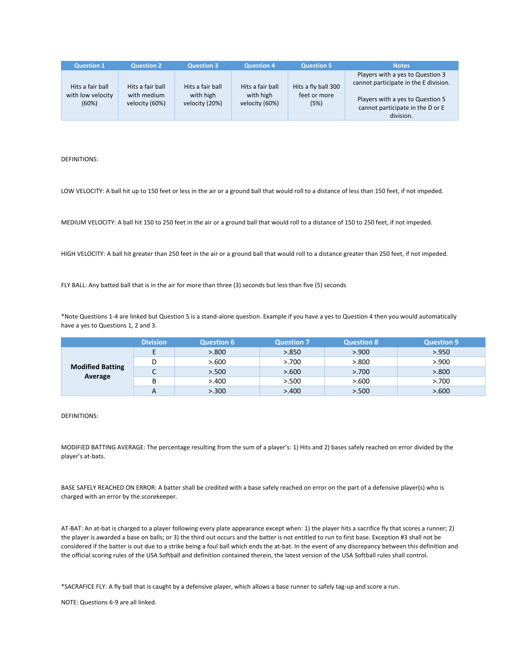| <b>Question 1</b>                              | <b>Question 2</b>                                 | <b>Question 3</b>                               | <b>Question 4</b>                               | <b>Question 5</b>                           | <b>Notes</b>                                                                                                                                                   |
|------------------------------------------------|---------------------------------------------------|-------------------------------------------------|-------------------------------------------------|---------------------------------------------|----------------------------------------------------------------------------------------------------------------------------------------------------------------|
| Hits a fair ball<br>with low velocity<br>(60%) | Hits a fair ball<br>with medium<br>velocity (60%) | Hits a fair ball<br>with high<br>velocity (20%) | Hits a fair ball<br>with high<br>velocity (60%) | Hits a fly ball 300<br>feet or more<br>(5%) | Players with a yes to Question 3<br>cannot participate in the E division.<br>Players with a yes to Question 5<br>cannot participate in the D or E<br>division. |

DEFINITIONS:

LOW VELOCITY: A ball hit up to 150 feet or less in the air or a ground ball that would roll to a distance of less than 150 feet, if not impeded.

MEDIUM VELOCITY: A ball hit 150 to 250 feet in the air or a ground ball that would roll to a distance of 150 to 250 feet, if not impeded.

HIGH VELOCITY: A ball hit greater than 250 feet in the air or a ground ball that would roll to a distance greater than 250 feet, if not impeded.

FLY BALL: Any batted ball that is in the air for more than three (3) seconds but less than five (5) seconds

\*Note Questions 1‐4 are linked but Question 5 is a stand‐alone question. Example if you have a yes to Question 4 then you would automatically have a yes to Questions 1, 2 and 3.

|                         | <b>Division</b> | <b>Question 6</b> | <b>Question 7</b> | <b>Question 8</b> | <b>Question 9</b> |
|-------------------------|-----------------|-------------------|-------------------|-------------------|-------------------|
|                         | E               | > 800             | > 850             | > 900             | > 0.950           |
|                         |                 | > 600             | > 700             | > 800             | > 900             |
| <b>Modified Batting</b> | ֊               | > 500             | > 600             | > 700             | > 800             |
| Average                 | B               | >400              | > 500             | > 600             | > 700             |
|                         | A               | > 300             | >400              | > 500             | > 600             |

DEFINITIONS:

MODIFIED BATTING AVERAGE: The percentage resulting from the sum of a player's: 1) Hits and 2) bases safely reached on error divided by the player's at‐bats.

BASE SAFELY REACHED ON ERROR: A batter shall be credited with a base safely reached on error on the part of a defensive player(s) who is charged with an error by the scorekeeper.

AT‐BAT: An at‐bat is charged to a player following every plate appearance except when: 1) the player hits a sacrifice fly that scores a runner; 2) the player is awarded a base on balls; or 3) the third out occurs and the batter is not entitled to run to first base. Exception #3 shall not be considered if the batter is out due to a strike being a foul ball which ends the at‐bat. In the event of any discrepancy between this definition and the official scoring rules of the USA Softball and definition contained therein, the latest version of the USA Softball rules shall control.

\*SACRAFICE FLY: A fly ball that is caught by a defensive player, which allows a base runner to safely tag‐up and score a run.

NOTE: Questions 6‐9 are all linked.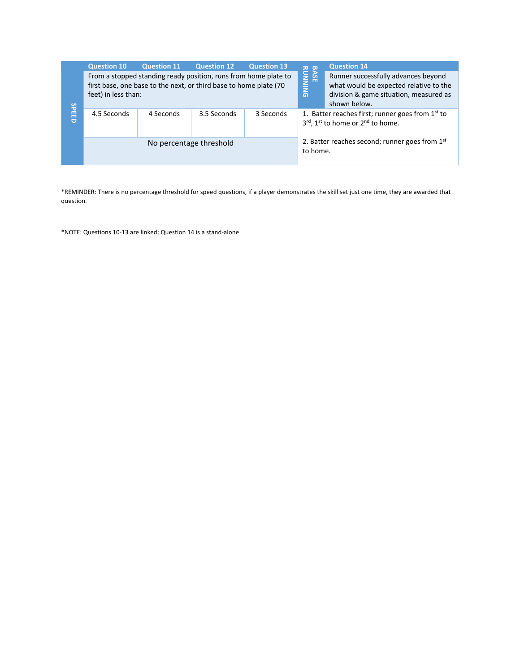|              | <b>Question 10</b>      | <b>Question 11</b>                                                                                                                   | <b>Question 12</b> | <b>Question 13</b>    | $\frac{1}{2}$                                                                                                                           | <b>Question 14</b>                                         |  |  |
|--------------|-------------------------|--------------------------------------------------------------------------------------------------------------------------------------|--------------------|-----------------------|-----------------------------------------------------------------------------------------------------------------------------------------|------------------------------------------------------------|--|--|
|              | feet) in less than:     | From a stopped standing ready position, runs from home plate to<br>first base, one base to the next, or third base to home plate (70 |                    | <b>AASE</b><br>UNNING | Runner successfully advances beyond<br>what would be expected relative to the<br>division & game situation, measured as<br>shown below. |                                                            |  |  |
| <b>SPEED</b> | 4.5 Seconds             | 4 Seconds                                                                                                                            | 3.5 Seconds        | 3 Seconds             | 1. Batter reaches first; runner goes from $1st$ to<br>3rd, 1st to home or 2nd to home.                                                  |                                                            |  |  |
|              | No percentage threshold |                                                                                                                                      |                    |                       |                                                                                                                                         | 2. Batter reaches second; runner goes from 1st<br>to home. |  |  |

\*REMINDER: There is no percentage threshold for speed questions, if a player demonstrates the skill set just one time, they are awarded that question.

\*NOTE: Questions 10‐13 are linked; Question 14 is a stand‐alone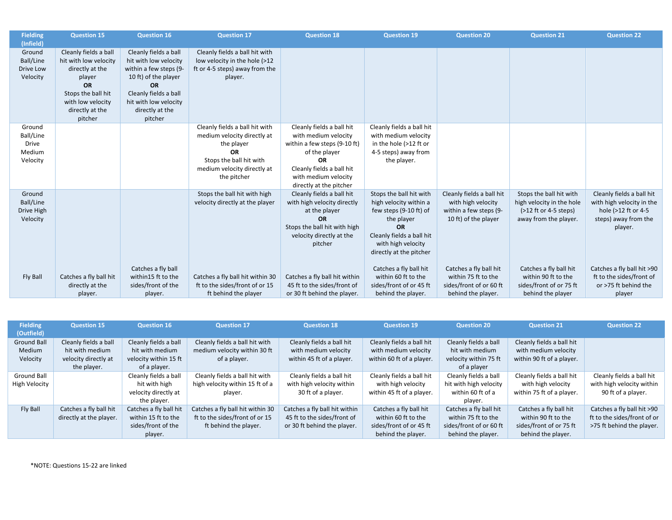| <b>Fielding</b>     | <b>Question 15</b>     | <b>Question 16</b>     | <b>Question 17</b>                                              | <b>Question 18</b>            | <b>Question 19</b>                               | <b>Question 20</b>                              | <b>Question 21</b>                                    | <b>Question 22</b>                               |
|---------------------|------------------------|------------------------|-----------------------------------------------------------------|-------------------------------|--------------------------------------------------|-------------------------------------------------|-------------------------------------------------------|--------------------------------------------------|
| (Infield)           |                        |                        |                                                                 |                               |                                                  |                                                 |                                                       |                                                  |
| Ground              | Cleanly fields a ball  | Cleanly fields a ball  | Cleanly fields a ball hit with                                  |                               |                                                  |                                                 |                                                       |                                                  |
| Ball/Line           | hit with low velocity  | hit with low velocity  | low velocity in the hole (>12                                   |                               |                                                  |                                                 |                                                       |                                                  |
| Drive Low           | directly at the        | within a few steps (9- | ft or 4-5 steps) away from the                                  |                               |                                                  |                                                 |                                                       |                                                  |
| Velocity            | player                 | 10 ft) of the player   | player.                                                         |                               |                                                  |                                                 |                                                       |                                                  |
|                     | <b>OR</b>              | <b>OR</b>              |                                                                 |                               |                                                  |                                                 |                                                       |                                                  |
|                     | Stops the ball hit     | Cleanly fields a ball  |                                                                 |                               |                                                  |                                                 |                                                       |                                                  |
|                     | with low velocity      | hit with low velocity  |                                                                 |                               |                                                  |                                                 |                                                       |                                                  |
|                     | directly at the        | directly at the        |                                                                 |                               |                                                  |                                                 |                                                       |                                                  |
|                     | pitcher                | pitcher                |                                                                 |                               |                                                  |                                                 |                                                       |                                                  |
| Ground              |                        |                        | Cleanly fields a ball hit with                                  | Cleanly fields a ball hit     | Cleanly fields a ball hit                        |                                                 |                                                       |                                                  |
| Ball/Line           |                        |                        | medium velocity directly at                                     | with medium velocity          | with medium velocity                             |                                                 |                                                       |                                                  |
| <b>Drive</b>        |                        |                        | the player                                                      | within a few steps (9-10 ft)  | in the hole (>12 ft or                           |                                                 |                                                       |                                                  |
| Medium              |                        |                        | <b>OR</b>                                                       | of the player                 | 4-5 steps) away from                             |                                                 |                                                       |                                                  |
| Velocity            |                        |                        | Stops the ball hit with                                         | <b>OR</b>                     | the player.                                      |                                                 |                                                       |                                                  |
|                     |                        |                        | medium velocity directly at                                     | Cleanly fields a ball hit     |                                                  |                                                 |                                                       |                                                  |
|                     |                        |                        | the pitcher                                                     | with medium velocity          |                                                  |                                                 |                                                       |                                                  |
|                     |                        |                        |                                                                 | directly at the pitcher       |                                                  |                                                 |                                                       |                                                  |
| Ground<br>Ball/Line |                        |                        | Stops the ball hit with high<br>velocity directly at the player | Cleanly fields a ball hit     | Stops the ball hit with                          | Cleanly fields a ball hit<br>with high velocity | Stops the ball hit with                               | Cleanly fields a ball hit                        |
| Drive High          |                        |                        |                                                                 | with high velocity directly   | high velocity within a<br>few steps (9-10 ft) of | within a few steps (9-                          | high velocity in the hole<br>$($ >12 ft or 4-5 steps) | with high velocity in the<br>hole (>12 ft or 4-5 |
|                     |                        |                        |                                                                 | at the player<br><b>OR</b>    |                                                  |                                                 |                                                       |                                                  |
| Velocity            |                        |                        |                                                                 | Stops the ball hit with high  | the player<br><b>OR</b>                          | 10 ft) of the player                            | away from the player.                                 | steps) away from the                             |
|                     |                        |                        |                                                                 | velocity directly at the      | Cleanly fields a ball hit                        |                                                 |                                                       | player.                                          |
|                     |                        |                        |                                                                 | pitcher                       | with high velocity                               |                                                 |                                                       |                                                  |
|                     |                        |                        |                                                                 |                               | directly at the pitcher                          |                                                 |                                                       |                                                  |
|                     |                        |                        |                                                                 |                               |                                                  |                                                 |                                                       |                                                  |
|                     |                        | Catches a fly ball     |                                                                 |                               | Catches a fly ball hit                           | Catches a fly ball hit                          | Catches a fly ball hit                                | Catches a fly ball hit >90                       |
| Fly Ball            | Catches a fly ball hit | within15 ft to the     | Catches a fly ball hit within 30                                | Catches a fly ball hit within | within 60 ft to the                              | within 75 ft to the                             | within 90 ft to the                                   | ft to the sides/front of                         |
|                     | directly at the        | sides/front of the     | ft to the sides/front of or 15                                  | 45 ft to the sides/front of   | sides/front of or 45 ft                          | sides/front of or 60 ft                         | sides/front of or 75 ft                               | or >75 ft behind the                             |
|                     | player.                | player.                | ft behind the player                                            | or 30 ft behind the player.   | behind the player.                               | behind the player.                              | behind the player                                     | player                                           |

| <b>Fielding</b>    | <b>Question 15</b>      | <b>Question 16</b>     | <b>Question 17</b>               | <b>Question 18</b>            | <b>Question 19</b>        | <b>Question 20</b>      | <b>Question 21</b>        | <b>Question 22</b>          |
|--------------------|-------------------------|------------------------|----------------------------------|-------------------------------|---------------------------|-------------------------|---------------------------|-----------------------------|
| (Outfield)         |                         |                        |                                  |                               |                           |                         |                           |                             |
| <b>Ground Ball</b> | Cleanly fields a ball   | Cleanly fields a ball  | Cleanly fields a ball hit with   | Cleanly fields a ball hit     | Cleanly fields a ball hit | Cleanly fields a ball   | Cleanly fields a ball hit |                             |
| Medium             | hit with medium         | hit with medium        | medium velocity within 30 ft     | with medium velocity          | with medium velocity      | hit with medium         | with medium velocity      |                             |
| Velocity           | velocity directly at    | velocity within 15 ft  | of a player.                     | within 45 ft of a player.     | within 60 ft of a player. | velocity within 75 ft   | within 90 ft of a player. |                             |
|                    | the player.             | of a player.           |                                  |                               |                           | of a player             |                           |                             |
| <b>Ground Ball</b> |                         | Cleanly fields a ball  | Cleanly fields a ball hit with   | Cleanly fields a ball hit     | Cleanly fields a ball hit | Cleanly fields a ball   | Cleanly fields a ball hit | Cleanly fields a ball hit   |
| High Velocity      |                         | hit with high          | high velocity within 15 ft of a  | with high velocity within     | with high velocity        | hit with high velocity  | with high velocity        | with high velocity within   |
|                    |                         | velocity directly at   | player.                          | 30 ft of a player.            | within 45 ft of a player. | within 60 ft of a       | within 75 ft of a player. | 90 ft of a player.          |
|                    |                         | the player.            |                                  |                               |                           | player.                 |                           |                             |
| Fly Ball           | Catches a fly ball hit  | Catches a fly ball hit | Catches a fly ball hit within 30 | Catches a fly ball hit within | Catches a fly ball hit    | Catches a fly ball hit  | Catches a fly ball hit    | Catches a fly ball hit >90  |
|                    | directly at the player. | within 15 ft to the    | ft to the sides/front of or 15   | 45 ft to the sides/front of   | within 60 ft to the       | within 75 ft to the     | within 90 ft to the       | ft to the sides/front of or |
|                    |                         | sides/front of the     | ft behind the player.            | or 30 ft behind the player.   | sides/front of or 45 ft   | sides/front of or 60 ft | sides/front of or 75 ft   | >75 ft behind the player.   |
|                    |                         | player.                |                                  |                               | behind the player.        | behind the player.      | behind the player.        |                             |

\*NOTE: Questions 15‐22 are linked